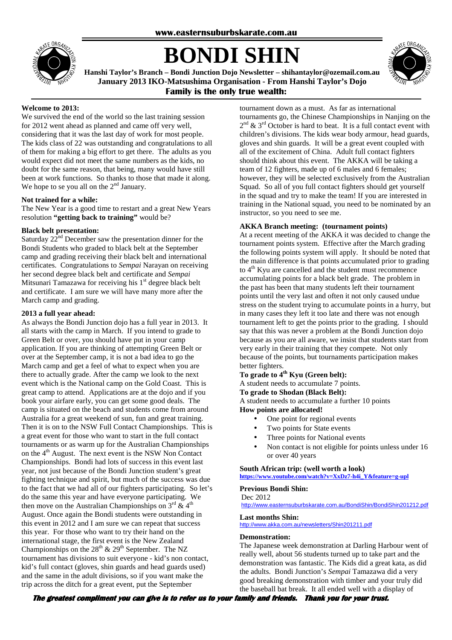

# **BONDI SHIN**



**Hanshi Taylor's Branch – Bondi Junction Dojo Newsletter – shihantaylor@ozemail.com.au January 2013 IKO-Matsushima Organisation - From Hanshi Taylor's Dojo Family is the only true wealth:** 

# **Welcome to 2013:**

We survived the end of the world so the last training session for 2012 went ahead as planned and came off very well, considering that it was the last day of work for most people. The kids class of 22 was outstanding and congratulations to all of them for making a big effort to get there. The adults as you would expect did not meet the same numbers as the kids, no doubt for the same reason, that being, many would have still been at work functions. So thanks to those that made it along. We hope to se you all on the  $2<sup>nd</sup>$  January.

# **Not trained for a while:**

The New Year is a good time to restart and a great New Years resolution **"getting back to training"** would be?

# **Black belt presentation:**

Saturday  $22<sup>nd</sup>$  December saw the presentation dinner for the Bondi Students who graded to black belt at the September camp and grading receiving their black belt and international certificates. Congratulations to *Sempai* Narayan on receiving her second degree black belt and certificate and *Sempai* Mitsunari Tamazawa for receiving his  $1<sup>st</sup>$  degree black belt and certificate. I am sure we will have many more after the March camp and grading.

### **2013 a full year ahead:**

As always the Bondi Junction dojo has a full year in 2013. It all starts with the camp in March. If you intend to grade to Green Belt or over, you should have put in your camp application. If you are thinking of attempting Green Belt or over at the September camp, it is not a bad idea to go the March camp and get a feel of what to expect when you are there to actually grade. After the camp we look to the next event which is the National camp on the Gold Coast. This is great camp to attend. Applications are at the dojo and if you book your airfare early, you can get some good deals. The camp is situated on the beach and students come from around Australia for a great weekend of sun, fun and great training. Then it is on to the NSW Full Contact Championships. This is a great event for those who want to start in the full contact tournaments or as warm up for the Australian Championships on the 4<sup>th</sup> August. The next event is the NSW Non Contact Championships. Bondi had lots of success in this event last year, not just because of the Bondi Junction student's great fighting technique and spirit, but much of the success was due to the fact that we had all of our fighters participating. So let's do the same this year and have everyone participating. We then move on the Australian Championships on  $3^{\text{rd}}$  &  $4^{\text{th}}$ August. Once again the Bondi students were outstanding in this event in 2012 and I am sure we can repeat that success this year. For those who want to try their hand on the international stage, the first event is the New Zealand Championships on the  $28<sup>th</sup>$  &  $29<sup>th</sup>$  September. The NZ tournament has divisions to suit everyone - kid's non contact, kid's full contact (gloves, shin guards and head guards used) and the same in the adult divisions, so if you want make the trip across the ditch for a great event, put the September

tournament down as a must. As far as international tournaments go, the Chinese Championships in Nanjing on the  $2<sup>nd</sup>$  &  $3<sup>rd</sup>$  October is hard to beat. It is a full contact event with children's divisions. The kids wear body armour, head guards, gloves and shin guards. It will be a great event coupled with all of the excitement of China. Adult full contact fighters should think about this event. The AKKA will be taking a team of 12 fighters, made up of 6 males and 6 females; however, they will be selected exclusively from the Australian Squad. So all of you full contact fighters should get yourself in the squad and try to make the team! If you are interested in training in the National squad, you need to be nominated by an instructor, so you need to see me.

# **AKKA Branch meeting: (tournament points)**

At a recent meeting of the AKKA it was decided to change the tournament points system. Effective after the March grading the following points system will apply. It should be noted that the main difference is that points accumulated prior to grading to 4<sup>th</sup> Kyu are cancelled and the student must recommence accumulating points for a black belt grade. The problem in the past has been that many students left their tournament points until the very last and often it not only caused undue stress on the student trying to accumulate points in a hurry, but in many cases they left it too late and there was not enough tournament left to get the points prior to the grading. I should say that this was never a problem at the Bondi Junction dojo because as you are all aware, we insist that students start from very early in their training that they compete. Not only because of the points, but tournaments participation makes better fighters.

# **To grade to 4th Kyu (Green belt):**

A student needs to accumulate 7 points.

#### **To grade to Shodan (Black Belt):**

A student needs to accumulate a further 10 points **How points are allocated!** 

- One point for regional events
- Two points for State events
- Three points for National events
- Non contact is not eligible for points unless under 16 or over 40 years

#### **South African trip: (well worth a look) https://www.youtube.com/watch?v=XxDz7-h4i\_Y&feature=g-upl**

#### **Previous Bondi Shin:**

Dec 2012 http://www.easternsuburbskarate.com.au/BondiShin/BondiShin201212.pdf

#### **Last months Shin:**

http://www.akka.com.au/newsletters/Shin201211.pdf

#### **Demonstration:**

The Japanese week demonstration at Darling Harbour went of really well, about 56 students turned up to take part and the demonstration was fantastic. The Kids did a great kata, as did the adults. Bondi Junction's *Sempai* Tamazawa did a very good breaking demonstration with timber and your truly did the baseball bat break. It all ended well with a display of